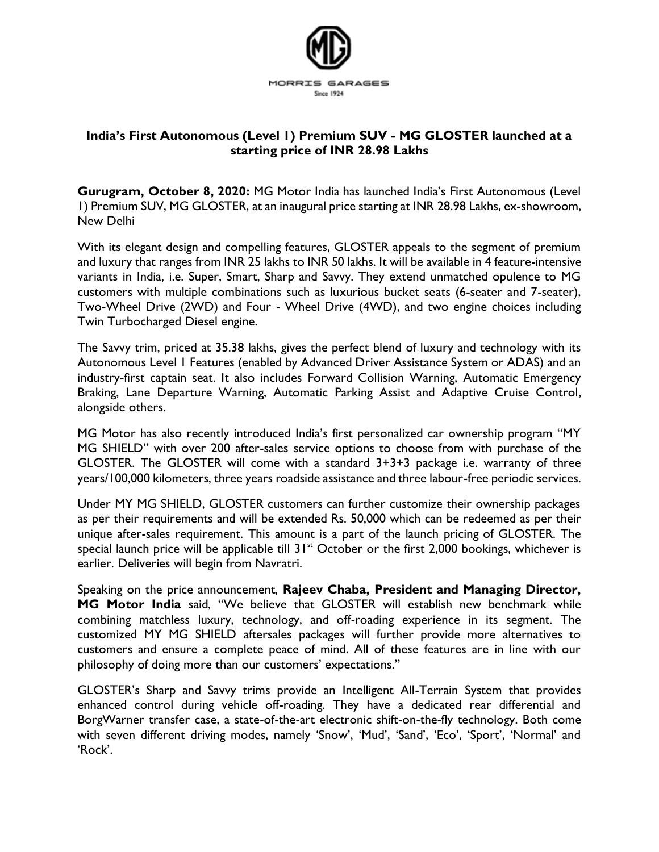

## **India's First Autonomous (Level 1) Premium SUV - MG GLOSTER launched at a starting price of INR 28.98 Lakhs**

**Gurugram, October 8, 2020:** MG Motor India has launched India's First Autonomous (Level 1) Premium SUV, MG GLOSTER, at an inaugural price starting at INR 28.98 Lakhs, ex-showroom, New Delhi

With its elegant design and compelling features, GLOSTER appeals to the segment of premium and luxury that ranges from INR 25 lakhs to INR 50 lakhs. It will be available in 4 feature-intensive variants in India, i.e. Super, Smart, Sharp and Savvy. They extend unmatched opulence to MG customers with multiple combinations such as luxurious bucket seats (6-seater and 7-seater), Two-Wheel Drive (2WD) and Four - Wheel Drive (4WD), and two engine choices including Twin Turbocharged Diesel engine.

The Savvy trim, priced at 35.38 lakhs, gives the perfect blend of luxury and technology with its Autonomous Level 1 Features (enabled by Advanced Driver Assistance System or ADAS) and an industry-first captain seat. It also includes Forward Collision Warning, Automatic Emergency Braking, Lane Departure Warning, Automatic Parking Assist and Adaptive Cruise Control, alongside others.

MG Motor has also recently introduced India's first personalized car ownership program "MY MG SHIELD" with over 200 after-sales service options to choose from with purchase of the GLOSTER. The GLOSTER will come with a standard 3+3+3 package i.e. warranty of three years/100,000 kilometers, three years roadside assistance and three labour-free periodic services.

Under MY MG SHIELD, GLOSTER customers can further customize their ownership packages as per their requirements and will be extended Rs. 50,000 which can be redeemed as per their unique after-sales requirement. This amount is a part of the launch pricing of GLOSTER. The special launch price will be applicable till  $31<sup>st</sup>$  October or the first 2,000 bookings, whichever is earlier. Deliveries will begin from Navratri.

Speaking on the price announcement, **Rajeev Chaba, President and Managing Director, MG Motor India** said, "We believe that GLOSTER will establish new benchmark while combining matchless luxury, technology, and off-roading experience in its segment. The customized MY MG SHIELD aftersales packages will further provide more alternatives to customers and ensure a complete peace of mind. All of these features are in line with our philosophy of doing more than our customers' expectations."

GLOSTER's Sharp and Savvy trims provide an Intelligent All-Terrain System that provides enhanced control during vehicle off-roading. They have a dedicated rear differential and BorgWarner transfer case, a state-of-the-art electronic shift-on-the-fly technology. Both come with seven different driving modes, namely 'Snow', 'Mud', 'Sand', 'Eco', 'Sport', 'Normal' and 'Rock'.